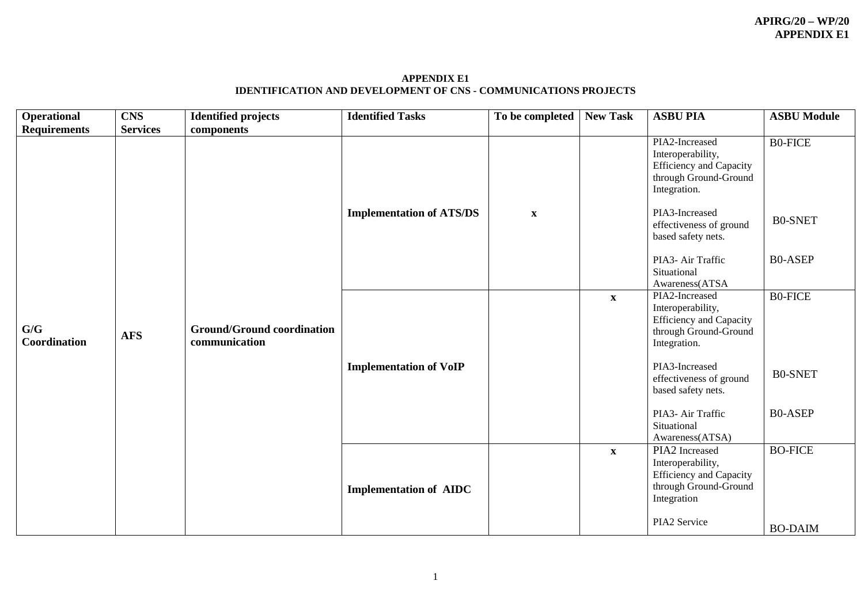**APPENDIX E1 IDENTIFICATION AND DEVELOPMENT OF CNS - COMMUNICATIONS PROJECTS**

| <b>Operational</b>  | <b>CNS</b>      | <b>Identified projects</b>                         | <b>Identified Tasks</b>         | To be completed | <b>New Task</b> | <b>ASBU PIA</b>                                                                                                | <b>ASBU Module</b> |
|---------------------|-----------------|----------------------------------------------------|---------------------------------|-----------------|-----------------|----------------------------------------------------------------------------------------------------------------|--------------------|
| <b>Requirements</b> | <b>Services</b> | components                                         |                                 |                 |                 |                                                                                                                |                    |
|                     |                 |                                                    |                                 |                 |                 | PIA2-Increased<br>Interoperability,<br><b>Efficiency and Capacity</b><br>through Ground-Ground<br>Integration. | <b>B0-FICE</b>     |
|                     |                 |                                                    | <b>Implementation of ATS/DS</b> | $\mathbf X$     |                 | PIA3-Increased<br>effectiveness of ground<br>based safety nets.                                                | <b>B0-SNET</b>     |
|                     |                 |                                                    |                                 |                 |                 | PIA3- Air Traffic<br>Situational<br>Awareness(ATSA                                                             | <b>B0-ASEP</b>     |
| G/G<br>Coordination | <b>AFS</b>      | <b>Ground/Ground coordination</b><br>communication |                                 |                 | $\mathbf{X}$    | PIA2-Increased<br>Interoperability,<br><b>Efficiency and Capacity</b><br>through Ground-Ground<br>Integration. | <b>B0-FICE</b>     |
|                     |                 |                                                    | <b>Implementation of VoIP</b>   |                 |                 | PIA3-Increased<br>effectiveness of ground<br>based safety nets.                                                | <b>B0-SNET</b>     |
|                     |                 |                                                    |                                 |                 |                 | PIA3- Air Traffic<br>Situational<br>Awareness(ATSA)                                                            | <b>B0-ASEP</b>     |
|                     |                 |                                                    | <b>Implementation of AIDC</b>   |                 | $\mathbf X$     | PIA2 Increased<br>Interoperability,<br><b>Efficiency and Capacity</b><br>through Ground-Ground<br>Integration  | <b>BO-FICE</b>     |
|                     |                 |                                                    |                                 |                 |                 | PIA2 Service                                                                                                   | <b>BO-DAIM</b>     |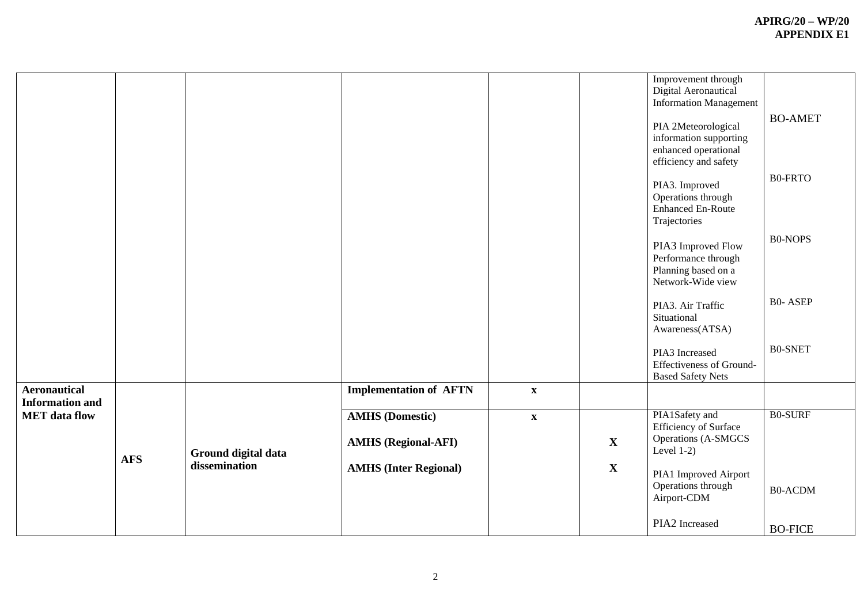|                                               |            |                     |                                                      |                           |              | Improvement through<br>Digital Aeronautical<br><b>Information Management</b><br>PIA 2Meteorological<br>information supporting<br>enhanced operational<br>efficiency and safety | <b>BO-AMET</b> |
|-----------------------------------------------|------------|---------------------|------------------------------------------------------|---------------------------|--------------|--------------------------------------------------------------------------------------------------------------------------------------------------------------------------------|----------------|
|                                               |            |                     |                                                      |                           |              | PIA3. Improved<br>Operations through<br><b>Enhanced En-Route</b><br>Trajectories                                                                                               | <b>B0-FRTO</b> |
|                                               |            |                     |                                                      |                           |              | PIA3 Improved Flow<br>Performance through<br>Planning based on a<br>Network-Wide view                                                                                          | <b>B0-NOPS</b> |
|                                               |            |                     |                                                      |                           |              | PIA3. Air Traffic<br>Situational<br>Awareness(ATSA)                                                                                                                            | <b>B0-ASEP</b> |
|                                               |            |                     |                                                      |                           |              | PIA3 Increased<br><b>Effectiveness of Ground-</b><br><b>Based Safety Nets</b>                                                                                                  | <b>B0-SNET</b> |
| <b>Aeronautical</b><br><b>Information and</b> |            |                     | <b>Implementation of AFTN</b>                        | $\mathbf X$               |              |                                                                                                                                                                                |                |
| <b>MET</b> data flow                          |            | Ground digital data | <b>AMHS</b> (Domestic)<br><b>AMHS</b> (Regional-AFI) | $\boldsymbol{\mathrm{X}}$ | $\mathbf{X}$ | PIA1Safety and<br>Efficiency of Surface<br><b>Operations (A-SMGCS</b><br>Level $1-2$ )                                                                                         | <b>B0-SURF</b> |
|                                               | <b>AFS</b> | dissemination       | <b>AMHS (Inter Regional)</b>                         |                           | $\mathbf{X}$ | PIA1 Improved Airport<br>Operations through<br>Airport-CDM                                                                                                                     | <b>B0-ACDM</b> |
|                                               |            |                     |                                                      |                           |              | PIA2 Increased                                                                                                                                                                 | <b>BO-FICE</b> |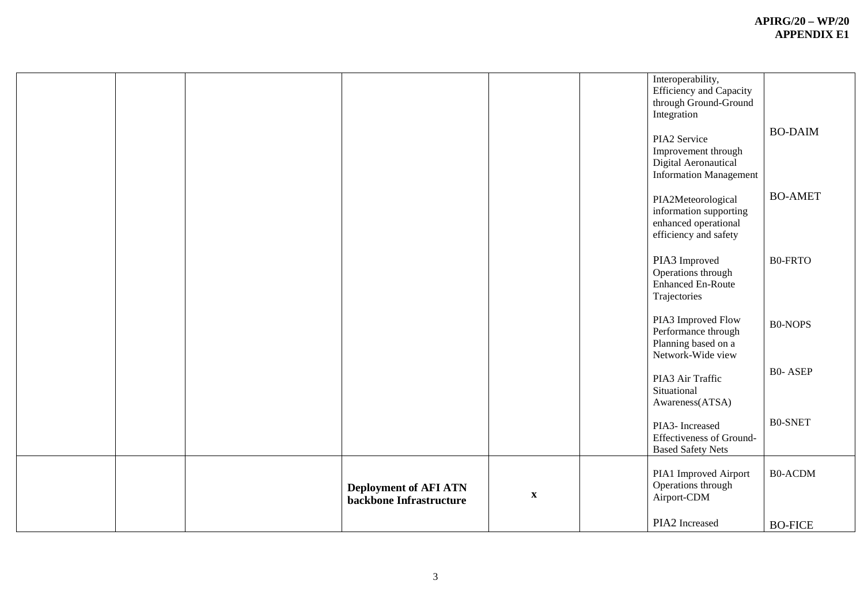|  |                                                         |             | Interoperability,<br>Efficiency and Capacity<br>through Ground-Ground<br>Integration<br>PIA2 Service<br>Improvement through<br>Digital Aeronautical<br><b>Information Management</b> | <b>BO-DAIM</b> |
|--|---------------------------------------------------------|-------------|--------------------------------------------------------------------------------------------------------------------------------------------------------------------------------------|----------------|
|  |                                                         |             | PIA2Meteorological<br>information supporting<br>enhanced operational<br>efficiency and safety                                                                                        | <b>BO-AMET</b> |
|  |                                                         |             | PIA3 Improved<br>Operations through<br><b>Enhanced En-Route</b><br>Trajectories                                                                                                      | <b>B0-FRTO</b> |
|  |                                                         |             | PIA3 Improved Flow<br>Performance through<br>Planning based on a<br>Network-Wide view                                                                                                | <b>B0-NOPS</b> |
|  |                                                         |             | PIA3 Air Traffic<br>Situational<br>Awareness(ATSA)                                                                                                                                   | <b>B0-ASEP</b> |
|  |                                                         |             | PIA3- Increased<br><b>Effectiveness of Ground-</b><br><b>Based Safety Nets</b>                                                                                                       | <b>B0-SNET</b> |
|  | <b>Deployment of AFI ATN</b><br>backbone Infrastructure | $\mathbf X$ | PIA1 Improved Airport<br>Operations through<br>Airport-CDM                                                                                                                           | <b>B0-ACDM</b> |
|  |                                                         |             | PIA2 Increased                                                                                                                                                                       | <b>BO-FICE</b> |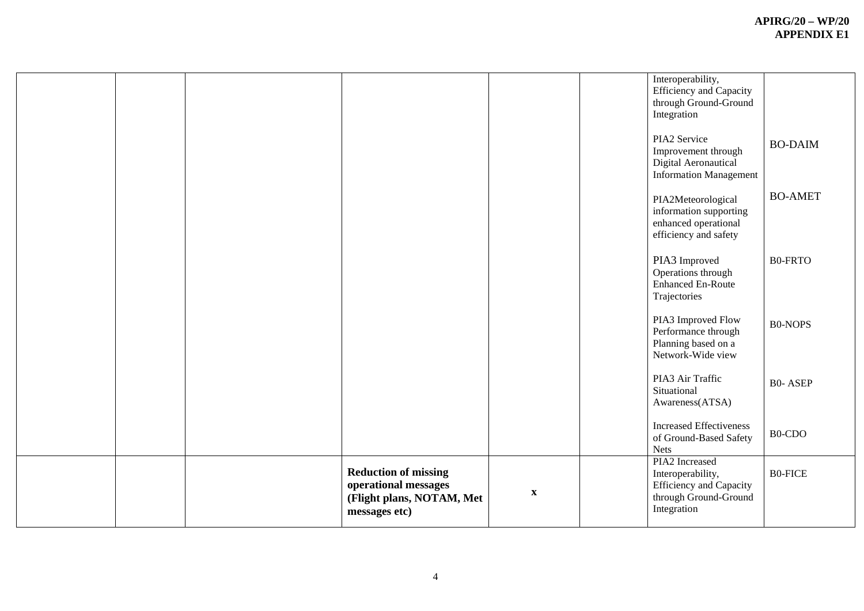|  |                                                                                                   |                           | Interoperability,<br>Efficiency and Capacity<br>through Ground-Ground<br>Integration                          |                |
|--|---------------------------------------------------------------------------------------------------|---------------------------|---------------------------------------------------------------------------------------------------------------|----------------|
|  |                                                                                                   |                           | PIA2 Service<br>Improvement through<br>Digital Aeronautical<br><b>Information Management</b>                  | <b>BO-DAIM</b> |
|  |                                                                                                   |                           | PIA2Meteorological<br>information supporting<br>enhanced operational<br>efficiency and safety                 | <b>BO-AMET</b> |
|  |                                                                                                   |                           | PIA3 Improved<br>Operations through<br>Enhanced En-Route<br>Trajectories                                      | <b>B0-FRTO</b> |
|  |                                                                                                   |                           | PIA3 Improved Flow<br>Performance through<br>Planning based on a<br>Network-Wide view                         | <b>B0-NOPS</b> |
|  |                                                                                                   |                           | PIA3 Air Traffic<br>Situational<br>Awareness(ATSA)                                                            | <b>B0-ASEP</b> |
|  |                                                                                                   |                           | <b>Increased Effectiveness</b><br>of Ground-Based Safety<br><b>Nets</b>                                       | $B0$ -CDO      |
|  | <b>Reduction of missing</b><br>operational messages<br>(Flight plans, NOTAM, Met<br>messages etc) | $\boldsymbol{\mathrm{X}}$ | PIA2 Increased<br>Interoperability,<br><b>Efficiency and Capacity</b><br>through Ground-Ground<br>Integration | <b>B0-FICE</b> |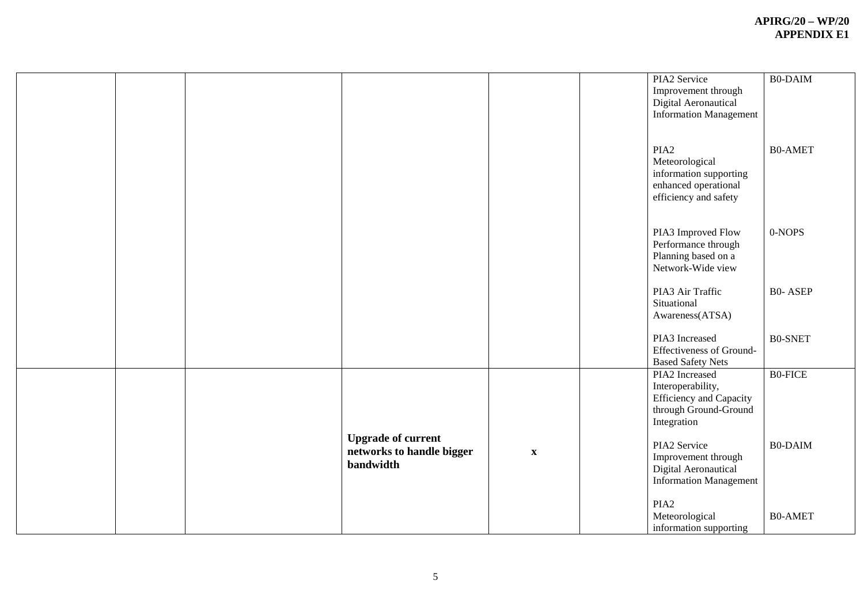|  |                           |                           | PIA2 Service                   | <b>B0-DAIM</b> |
|--|---------------------------|---------------------------|--------------------------------|----------------|
|  |                           |                           | Improvement through            |                |
|  |                           |                           | Digital Aeronautical           |                |
|  |                           |                           | <b>Information Management</b>  |                |
|  |                           |                           |                                |                |
|  |                           |                           |                                |                |
|  |                           |                           | PIA <sub>2</sub>               | <b>B0-AMET</b> |
|  |                           |                           | Meteorological                 |                |
|  |                           |                           | information supporting         |                |
|  |                           |                           | enhanced operational           |                |
|  |                           |                           | efficiency and safety          |                |
|  |                           |                           |                                |                |
|  |                           |                           |                                |                |
|  |                           |                           | PIA3 Improved Flow             | 0-NOPS         |
|  |                           |                           | Performance through            |                |
|  |                           |                           | Planning based on a            |                |
|  |                           |                           | Network-Wide view              |                |
|  |                           |                           |                                |                |
|  |                           |                           | PIA3 Air Traffic               | <b>B0-ASEP</b> |
|  |                           |                           | Situational                    |                |
|  |                           |                           | Awareness(ATSA)                |                |
|  |                           |                           |                                |                |
|  |                           |                           | PIA3 Increased                 | <b>B0-SNET</b> |
|  |                           |                           | Effectiveness of Ground-       |                |
|  |                           |                           | <b>Based Safety Nets</b>       |                |
|  |                           |                           | PIA2 Increased                 | <b>BO-FICE</b> |
|  |                           |                           | Interoperability,              |                |
|  |                           |                           | <b>Efficiency</b> and Capacity |                |
|  |                           |                           | through Ground-Ground          |                |
|  |                           |                           | Integration                    |                |
|  | <b>Upgrade of current</b> |                           |                                |                |
|  |                           |                           | PIA2 Service                   | <b>B0-DAIM</b> |
|  | networks to handle bigger | $\boldsymbol{\mathrm{X}}$ | Improvement through            |                |
|  | bandwidth                 |                           | Digital Aeronautical           |                |
|  |                           |                           | <b>Information Management</b>  |                |
|  |                           |                           |                                |                |
|  |                           |                           | PIA <sub>2</sub>               |                |
|  |                           |                           | Meteorological                 | <b>B0-AMET</b> |
|  |                           |                           | information supporting         |                |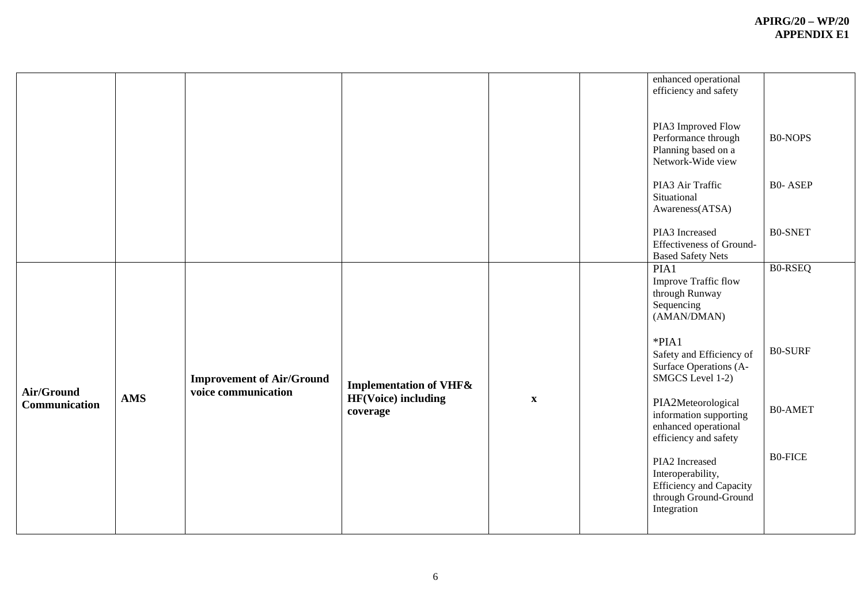|               |            |                                                         |                                        |             | enhanced operational<br>efficiency and safety<br>PIA3 Improved Flow<br>Performance through<br>Planning based on a<br>Network-Wide view | <b>B0-NOPS</b> |
|---------------|------------|---------------------------------------------------------|----------------------------------------|-------------|----------------------------------------------------------------------------------------------------------------------------------------|----------------|
|               |            |                                                         |                                        |             | PIA3 Air Traffic<br>Situational<br>Awareness(ATSA)                                                                                     | <b>B0-ASEP</b> |
|               |            |                                                         |                                        |             | PIA3 Increased<br>Effectiveness of Ground-<br><b>Based Safety Nets</b>                                                                 | <b>B0-SNET</b> |
|               |            |                                                         |                                        |             | PIA1<br>Improve Traffic flow<br>through Runway<br>Sequencing<br>(AMAN/DMAN)                                                            | <b>B0-RSEQ</b> |
| Air/Ground    |            | <b>Improvement of Air/Ground</b><br>voice communication | <b>Implementation of VHF&amp;</b>      |             | $*PIA1$<br>Safety and Efficiency of<br>Surface Operations (A-<br>SMGCS Level 1-2)                                                      | <b>B0-SURF</b> |
| Communication | <b>AMS</b> |                                                         | <b>HF(Voice)</b> including<br>coverage | $\mathbf X$ | PIA2Meteorological<br>information supporting<br>enhanced operational<br>efficiency and safety                                          | <b>B0-AMET</b> |
|               |            |                                                         |                                        |             | PIA2 Increased<br>Interoperability,<br><b>Efficiency</b> and Capacity<br>through Ground-Ground<br>Integration                          | <b>B0-FICE</b> |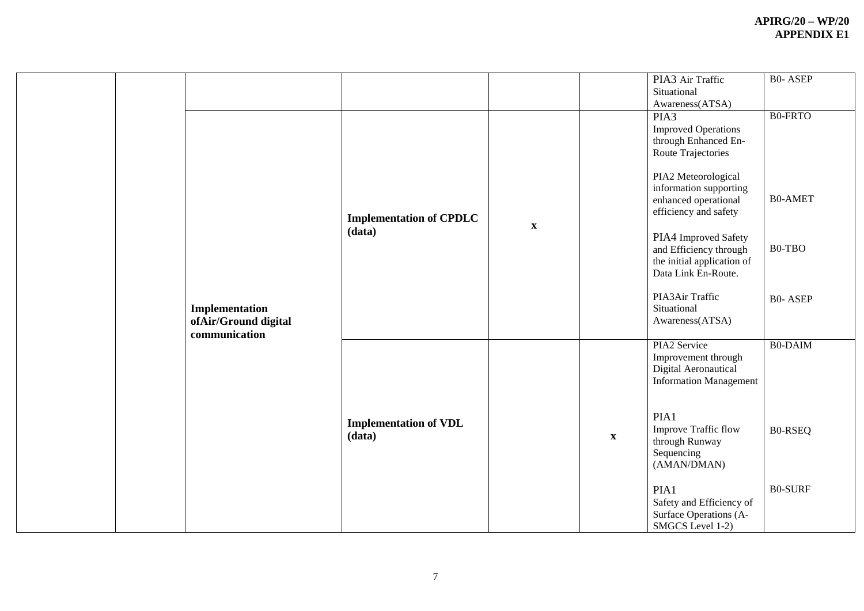|  | Implementation<br>ofAir/Ground digital | <b>Implementation of CPDLC</b><br>(data) | $\boldsymbol{\mathrm{X}}$ |                           | PIA3 Air Traffic<br>Situational<br>Awareness(ATSA)<br>PIA3<br><b>Improved Operations</b><br>through Enhanced En-<br>Route Trajectories<br>PIA2 Meteorological<br>information supporting<br>enhanced operational<br>efficiency and safety<br>PIA4 Improved Safety<br>and Efficiency through<br>the initial application of<br>Data Link En-Route.<br>PIA3Air Traffic<br>Situational<br>Awareness(ATSA) | <b>B0-ASEP</b><br><b>B0-FRTO</b><br><b>B0-AMET</b><br>B0-TBO<br><b>B0-ASEP</b> |
|--|----------------------------------------|------------------------------------------|---------------------------|---------------------------|------------------------------------------------------------------------------------------------------------------------------------------------------------------------------------------------------------------------------------------------------------------------------------------------------------------------------------------------------------------------------------------------------|--------------------------------------------------------------------------------|
|  | communication                          | <b>Implementation of VDL</b><br>(data)   |                           | $\boldsymbol{\mathrm{X}}$ | PIA2 Service<br>Improvement through<br>Digital Aeronautical<br><b>Information Management</b><br>PIA1<br>Improve Traffic flow<br>through Runway<br>Sequencing<br>(AMAN/DMAN)<br>PIA1<br>Safety and Efficiency of<br>Surface Operations (A-<br>SMGCS Level 1-2)                                                                                                                                        | <b>B0-DAIM</b><br><b>B0-RSEQ</b><br><b>B0-SURF</b>                             |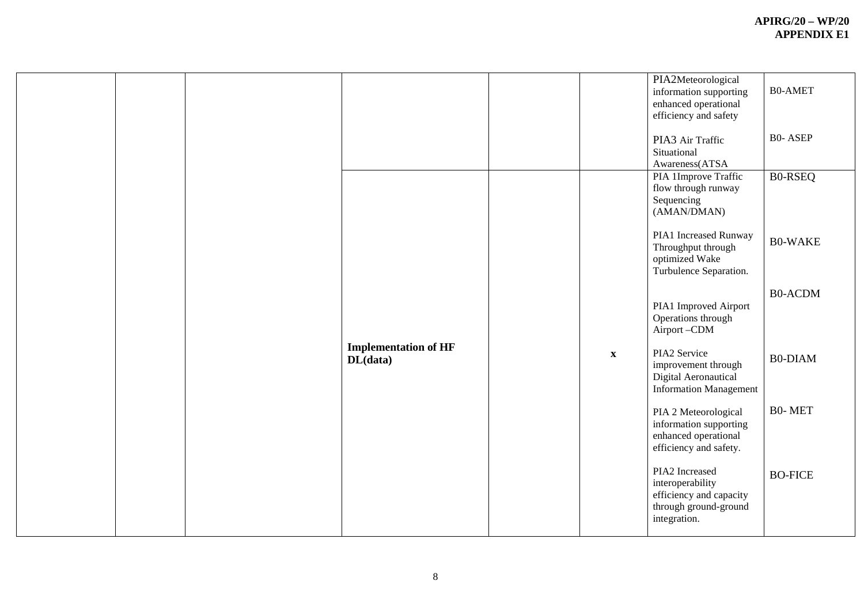|  |                                         |             | PIA2Meteorological<br>information supporting<br>enhanced operational<br>efficiency and safety<br>PIA3 Air Traffic<br>Situational<br>Awareness(ATSA | <b>B0-AMET</b><br><b>B0-ASEP</b> |
|--|-----------------------------------------|-------------|----------------------------------------------------------------------------------------------------------------------------------------------------|----------------------------------|
|  |                                         |             | PIA 1Improve Traffic<br>flow through runway<br>Sequencing<br>(AMAN/DMAN)<br>PIA1 Increased Runway<br>Throughput through                            | <b>BO-RSEQ</b><br><b>B0-WAKE</b> |
|  |                                         |             | optimized Wake<br>Turbulence Separation.<br>PIA1 Improved Airport<br>Operations through                                                            | <b>B0-ACDM</b>                   |
|  | <b>Implementation of HF</b><br>DL(data) | $\mathbf X$ | Airport-CDM<br>PIA2 Service<br>improvement through<br>Digital Aeronautical<br><b>Information Management</b>                                        | <b>B0-DIAM</b>                   |
|  |                                         |             | PIA 2 Meteorological<br>information supporting<br>enhanced operational<br>efficiency and safety.                                                   | <b>B0-MET</b>                    |
|  |                                         |             | PIA2 Increased<br>interoperability<br>efficiency and capacity<br>through ground-ground<br>integration.                                             | <b>BO-FICE</b>                   |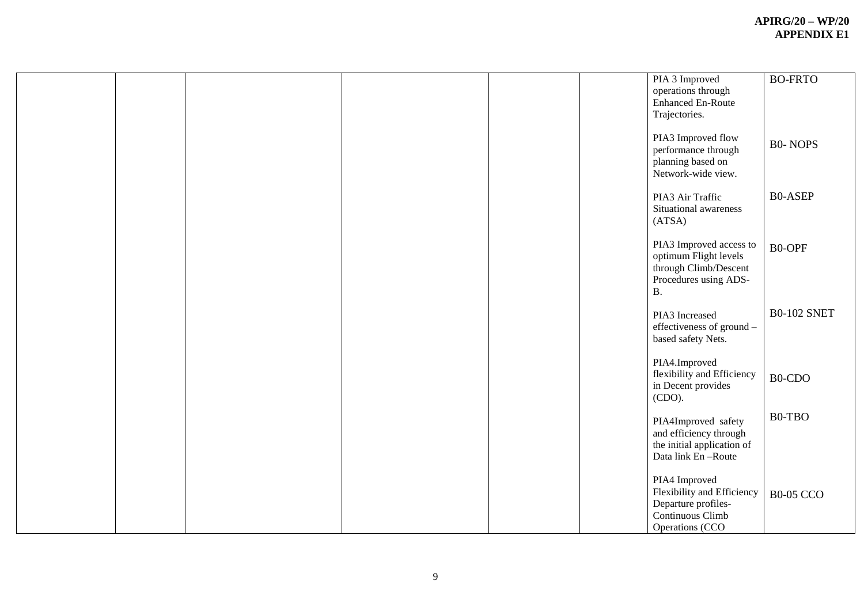|  |  | PIA 3 Improved<br>operations through<br><b>Enhanced En-Route</b><br>Trajectories.                                    | <b>BO-FRTO</b>     |
|--|--|----------------------------------------------------------------------------------------------------------------------|--------------------|
|  |  | PIA3 Improved flow<br>performance through<br>planning based on<br>Network-wide view.                                 | <b>B0-NOPS</b>     |
|  |  | PIA3 Air Traffic<br>Situational awareness<br>(ATSA)                                                                  | <b>B0-ASEP</b>     |
|  |  | PIA3 Improved access to<br>optimum Flight levels<br>through Climb/Descent<br>Procedures using ADS-<br>$\, {\bf B} .$ | <b>BO-OPF</b>      |
|  |  | PIA3 Increased<br>effectiveness of ground -<br>based safety Nets.                                                    | <b>B0-102 SNET</b> |
|  |  | PIA4.Improved<br>flexibility and Efficiency<br>in Decent provides<br>(CDO).                                          | B0-CDO             |
|  |  | PIA4Improved safety<br>and efficiency through<br>the initial application of<br>Data link En-Route                    | B0-TBO             |
|  |  | PIA4 Improved<br>Flexibility and Efficiency<br>Departure profiles-<br>Continuous Climb<br>Operations (CCO            | <b>B0-05 CCO</b>   |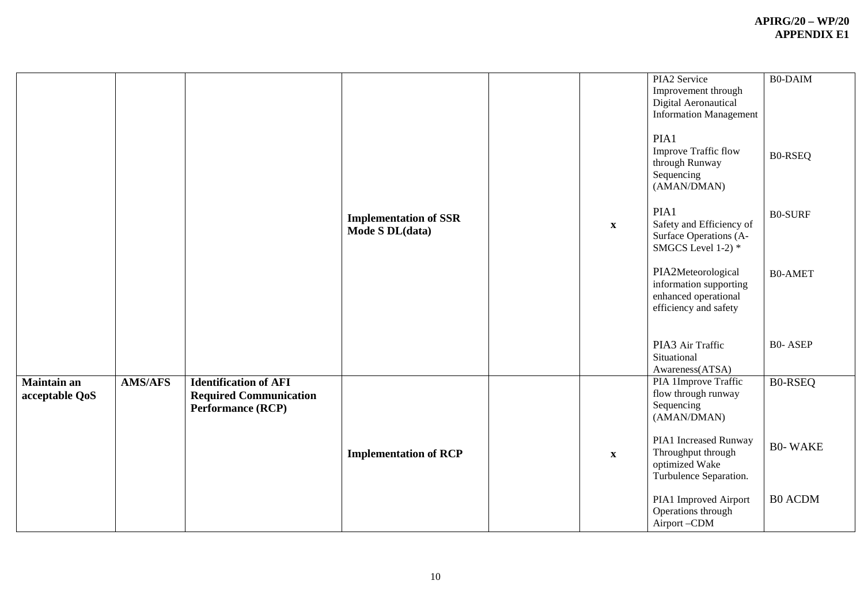|                               |                |                                                                                           | <b>Implementation of SSR</b><br>Mode S DL(data) | $\mathbf X$ | PIA2 Service<br>Improvement through<br>Digital Aeronautical<br><b>Information Management</b><br>PIA1<br>Improve Traffic flow<br>through Runway<br>Sequencing<br>(AMAN/DMAN)<br>PIA1<br>Safety and Efficiency of<br>Surface Operations (A-<br>SMGCS Level 1-2) *<br>PIA2Meteorological<br>information supporting<br>enhanced operational<br>efficiency and safety | <b>B0-DAIM</b><br><b>B0-RSEQ</b><br><b>B0-SURF</b><br><b>B0-AMET</b> |
|-------------------------------|----------------|-------------------------------------------------------------------------------------------|-------------------------------------------------|-------------|------------------------------------------------------------------------------------------------------------------------------------------------------------------------------------------------------------------------------------------------------------------------------------------------------------------------------------------------------------------|----------------------------------------------------------------------|
|                               |                |                                                                                           |                                                 |             | PIA3 Air Traffic<br>Situational<br>Awareness(ATSA)                                                                                                                                                                                                                                                                                                               | <b>B0-ASEP</b>                                                       |
| Maintain an<br>acceptable QoS | <b>AMS/AFS</b> | <b>Identification of AFI</b><br><b>Required Communication</b><br><b>Performance (RCP)</b> | <b>Implementation of RCP</b>                    | $\mathbf X$ | PIA 1Improve Traffic<br>flow through runway<br>Sequencing<br>(AMAN/DMAN)<br>PIA1 Increased Runway<br>Throughput through<br>optimized Wake<br>Turbulence Separation.                                                                                                                                                                                              | <b>B0-RSEQ</b><br><b>B0-WAKE</b>                                     |
|                               |                |                                                                                           |                                                 |             | PIA1 Improved Airport<br>Operations through<br>Airport-CDM                                                                                                                                                                                                                                                                                                       | <b>B0 ACDM</b>                                                       |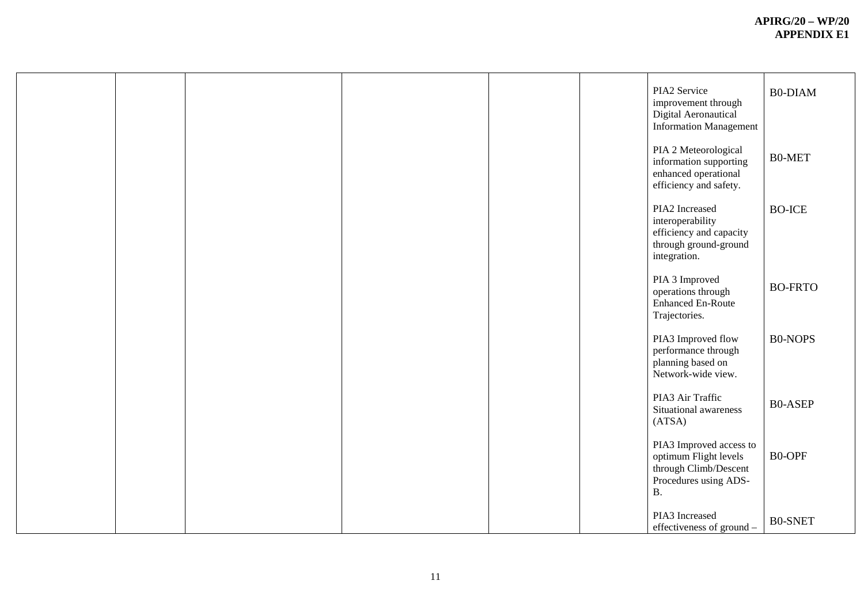|  |  |  | PIA2 Service<br>improvement through<br>Digital Aeronautical<br><b>Information Management</b>                        | <b>B0-DIAM</b> |
|--|--|--|---------------------------------------------------------------------------------------------------------------------|----------------|
|  |  |  | PIA 2 Meteorological<br>information supporting<br>enhanced operational<br>efficiency and safety.                    | B0-MET         |
|  |  |  | PIA2 Increased<br>interoperability<br>efficiency and capacity<br>through ground-ground<br>integration.              | <b>BO-ICE</b>  |
|  |  |  | PIA 3 Improved<br>operations through<br><b>Enhanced En-Route</b><br>Trajectories.                                   | <b>BO-FRTO</b> |
|  |  |  | PIA3 Improved flow<br>performance through<br>planning based on<br>Network-wide view.                                | <b>B0-NOPS</b> |
|  |  |  | PIA3 Air Traffic<br>Situational awareness<br>(ATSA)                                                                 | <b>B0-ASEP</b> |
|  |  |  | PIA3 Improved access to<br>optimum Flight levels<br>through Climb/Descent<br>Procedures using ADS-<br>$\, {\bf B}.$ | B0-OPF         |
|  |  |  | PIA3 Increased<br>effectiveness of ground –                                                                         | <b>B0-SNET</b> |